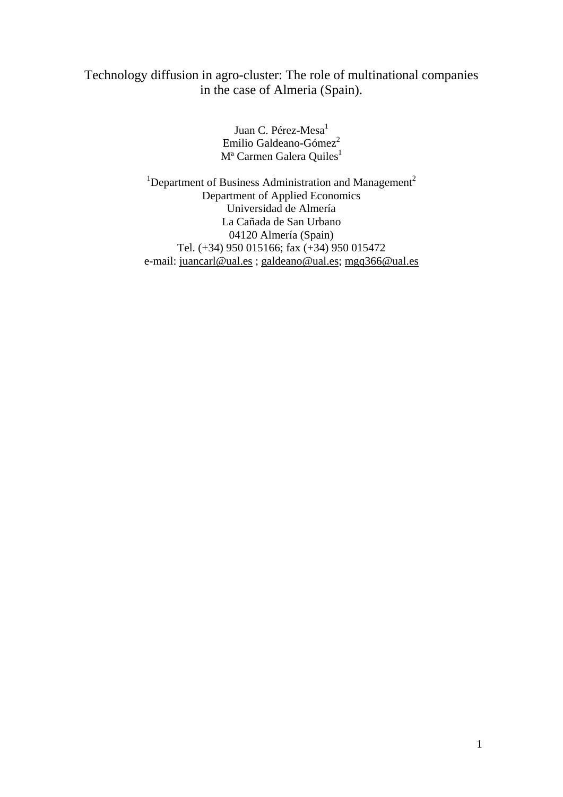# Technology diffusion in agro-cluster: The role of multinational companies in the case of Almeria (Spain).

Juan C. Pérez-Mesa<sup>1</sup> Emilio Galdeano-Gómez<sup>2</sup> M<sup>ª</sup> Carmen Galera Quiles<sup>1</sup>

<sup>1</sup>Department of Business Administration and Management<sup>2</sup> Department of Applied Economics Universidad de Almería La Cañada de San Urbano 04120 Almería (Spain) Tel. (+34) 950 015166; fax (+34) 950 015472 e-mail: juancarl@ual.es ; galdeano@ual.es; mgq366@ual.es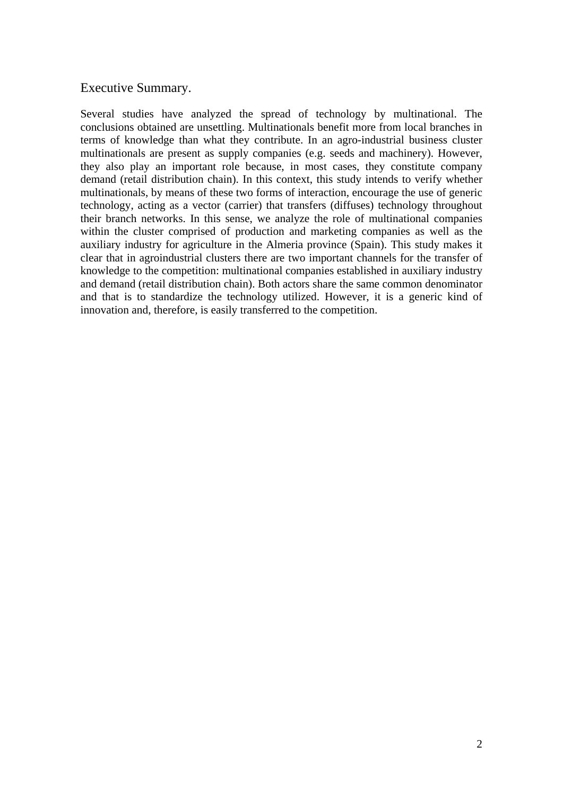## Executive Summary.

Several studies have analyzed the spread of technology by multinational. The conclusions obtained are unsettling. Multinationals benefit more from local branches in terms of knowledge than what they contribute. In an agro-industrial business cluster multinationals are present as supply companies (e.g. seeds and machinery). However, they also play an important role because, in most cases, they constitute company demand (retail distribution chain). In this context, this study intends to verify whether multinationals, by means of these two forms of interaction, encourage the use of generic technology, acting as a vector (carrier) that transfers (diffuses) technology throughout their branch networks. In this sense, we analyze the role of multinational companies within the cluster comprised of production and marketing companies as well as the auxiliary industry for agriculture in the Almeria province (Spain). This study makes it clear that in agroindustrial clusters there are two important channels for the transfer of knowledge to the competition: multinational companies established in auxiliary industry and demand (retail distribution chain). Both actors share the same common denominator and that is to standardize the technology utilized. However, it is a generic kind of innovation and, therefore, is easily transferred to the competition.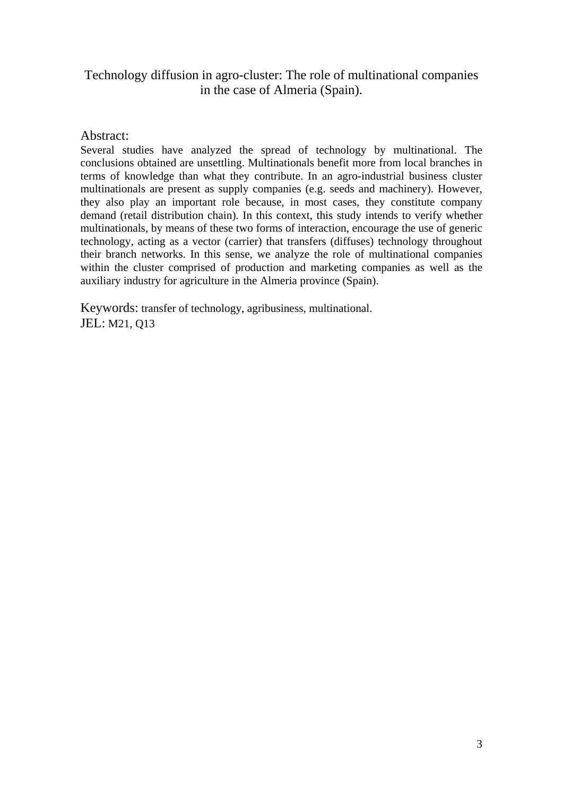## Technology diffusion in agro-cluster: The role of multinational companies in the case of Almeria (Spain).

### Abstract:

Several studies have analyzed the spread of technology by multinational. The conclusions obtained are unsettling. Multinationals benefit more from local branches in terms of knowledge than what they contribute. In an agro-industrial business cluster multinationals are present as supply companies (e.g. seeds and machinery). However, they also play an important role because, in most cases, they constitute company demand (retail distribution chain). In this context, this study intends to verify whether multinationals, by means of these two forms of interaction, encourage the use of generic technology, acting as a vector (carrier) that transfers (diffuses) technology throughout their branch networks. In this sense, we analyze the role of multinational companies within the cluster comprised of production and marketing companies as well as the auxiliary industry for agriculture in the Almeria province (Spain).

Keywords: transfer of technology, agribusiness, multinational. JEL: M21, Q13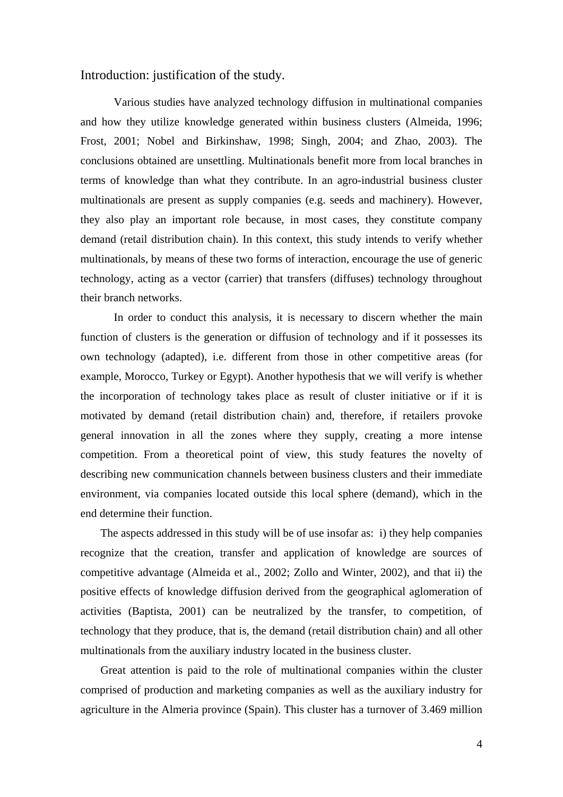Introduction: justification of the study.

Various studies have analyzed technology diffusion in multinational companies and how they utilize knowledge generated within business clusters (Almeida, 1996; Frost, 2001; Nobel and Birkinshaw, 1998; Singh, 2004; and Zhao, 2003). The conclusions obtained are unsettling. Multinationals benefit more from local branches in terms of knowledge than what they contribute. In an agro-industrial business cluster multinationals are present as supply companies (e.g. seeds and machinery). However, they also play an important role because, in most cases, they constitute company demand (retail distribution chain). In this context, this study intends to verify whether multinationals, by means of these two forms of interaction, encourage the use of generic technology, acting as a vector (carrier) that transfers (diffuses) technology throughout their branch networks.

In order to conduct this analysis, it is necessary to discern whether the main function of clusters is the generation or diffusion of technology and if it possesses its own technology (adapted), i.e. different from those in other competitive areas (for example, Morocco, Turkey or Egypt). Another hypothesis that we will verify is whether the incorporation of technology takes place as result of cluster initiative or if it is motivated by demand (retail distribution chain) and, therefore, if retailers provoke general innovation in all the zones where they supply, creating a more intense competition. From a theoretical point of view, this study features the novelty of describing new communication channels between business clusters and their immediate environment, via companies located outside this local sphere (demand), which in the end determine their function.

The aspects addressed in this study will be of use insofar as: i) they help companies recognize that the creation, transfer and application of knowledge are sources of competitive advantage (Almeida et al., 2002; Zollo and Winter, 2002), and that ii) the positive effects of knowledge diffusion derived from the geographical aglomeration of activities (Baptista, 2001) can be neutralized by the transfer, to competition, of technology that they produce, that is, the demand (retail distribution chain) and all other multinationals from the auxiliary industry located in the business cluster.

Great attention is paid to the role of multinational companies within the cluster comprised of production and marketing companies as well as the auxiliary industry for agriculture in the Almeria province (Spain). This cluster has a turnover of 3.469 million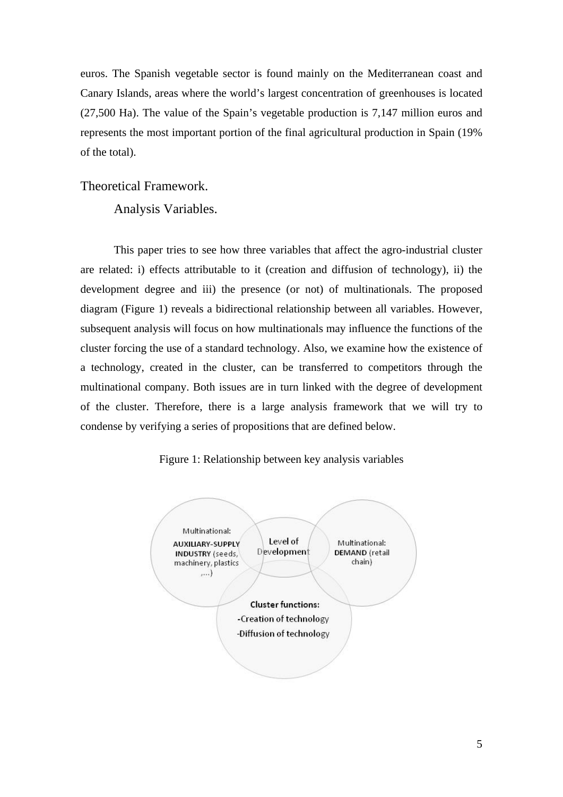euros. The Spanish vegetable sector is found mainly on the Mediterranean coast and Canary Islands, areas where the world's largest concentration of greenhouses is located (27,500 Ha). The value of the Spain's vegetable production is 7,147 million euros and represents the most important portion of the final agricultural production in Spain (19% of the total).

Theoretical Framework.

Analysis Variables.

This paper tries to see how three variables that affect the agro-industrial cluster are related: i) effects attributable to it (creation and diffusion of technology), ii) the development degree and iii) the presence (or not) of multinationals. The proposed diagram (Figure 1) reveals a bidirectional relationship between all variables. However, subsequent analysis will focus on how multinationals may influence the functions of the cluster forcing the use of a standard technology. Also, we examine how the existence of a technology, created in the cluster, can be transferred to competitors through the multinational company. Both issues are in turn linked with the degree of development of the cluster. Therefore, there is a large analysis framework that we will try to condense by verifying a series of propositions that are defined below.



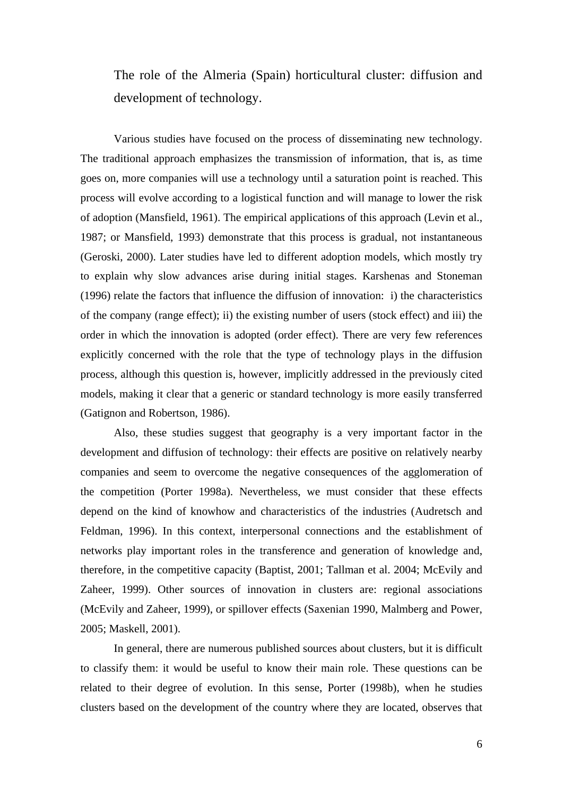The role of the Almeria (Spain) horticultural cluster: diffusion and development of technology.

Various studies have focused on the process of disseminating new technology. The traditional approach emphasizes the transmission of information, that is, as time goes on, more companies will use a technology until a saturation point is reached. This process will evolve according to a logistical function and will manage to lower the risk of adoption (Mansfield, 1961). The empirical applications of this approach (Levin et al., 1987; or Mansfield, 1993) demonstrate that this process is gradual, not instantaneous (Geroski, 2000). Later studies have led to different adoption models, which mostly try to explain why slow advances arise during initial stages. Karshenas and Stoneman (1996) relate the factors that influence the diffusion of innovation: i) the characteristics of the company (range effect); ii) the existing number of users (stock effect) and iii) the order in which the innovation is adopted (order effect). There are very few references explicitly concerned with the role that the type of technology plays in the diffusion process, although this question is, however, implicitly addressed in the previously cited models, making it clear that a generic or standard technology is more easily transferred (Gatignon and Robertson, 1986).

Also, these studies suggest that geography is a very important factor in the development and diffusion of technology: their effects are positive on relatively nearby companies and seem to overcome the negative consequences of the agglomeration of the competition (Porter 1998a). Nevertheless, we must consider that these effects depend on the kind of knowhow and characteristics of the industries (Audretsch and Feldman, 1996). In this context, interpersonal connections and the establishment of networks play important roles in the transference and generation of knowledge and, therefore, in the competitive capacity (Baptist, 2001; Tallman et al. 2004; McEvily and Zaheer, 1999). Other sources of innovation in clusters are: regional associations (McEvily and Zaheer, 1999), or spillover effects (Saxenian 1990, Malmberg and Power, 2005; Maskell, 2001).

In general, there are numerous published sources about clusters, but it is difficult to classify them: it would be useful to know their main role. These questions can be related to their degree of evolution. In this sense, Porter (1998b), when he studies clusters based on the development of the country where they are located, observes that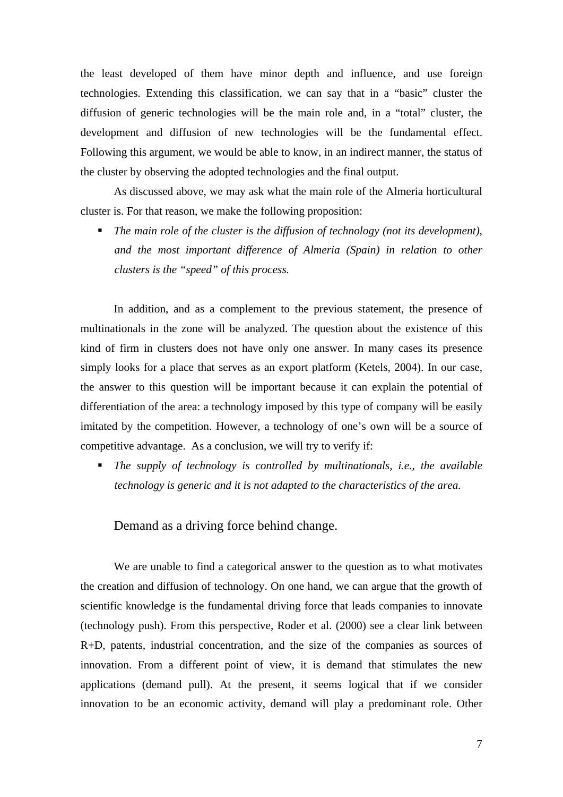the least developed of them have minor depth and influence, and use foreign technologies. Extending this classification, we can say that in a "basic" cluster the diffusion of generic technologies will be the main role and, in a "total" cluster, the development and diffusion of new technologies will be the fundamental effect. Following this argument, we would be able to know, in an indirect manner, the status of the cluster by observing the adopted technologies and the final output.

As discussed above, we may ask what the main role of the Almeria horticultural cluster is. For that reason, we make the following proposition:

■ The main role of the cluster is the diffusion of technology (not its development), *and the most important difference of Almeria (Spain) in relation to other clusters is the "speed" of this process.* 

In addition, and as a complement to the previous statement, the presence of multinationals in the zone will be analyzed. The question about the existence of this kind of firm in clusters does not have only one answer. In many cases its presence simply looks for a place that serves as an export platform (Ketels, 2004). In our case, the answer to this question will be important because it can explain the potential of differentiation of the area: a technology imposed by this type of company will be easily imitated by the competition. However, a technology of one's own will be a source of competitive advantage. As a conclusion, we will try to verify if:

 *The supply of technology is controlled by multinationals, i.e., the available technology is generic and it is not adapted to the characteristics of the area.* 

Demand as a driving force behind change.

 We are unable to find a categorical answer to the question as to what motivates the creation and diffusion of technology. On one hand, we can argue that the growth of scientific knowledge is the fundamental driving force that leads companies to innovate (technology push). From this perspective, Roder et al. (2000) see a clear link between R+D, patents, industrial concentration, and the size of the companies as sources of innovation. From a different point of view, it is demand that stimulates the new applications (demand pull). At the present, it seems logical that if we consider innovation to be an economic activity, demand will play a predominant role. Other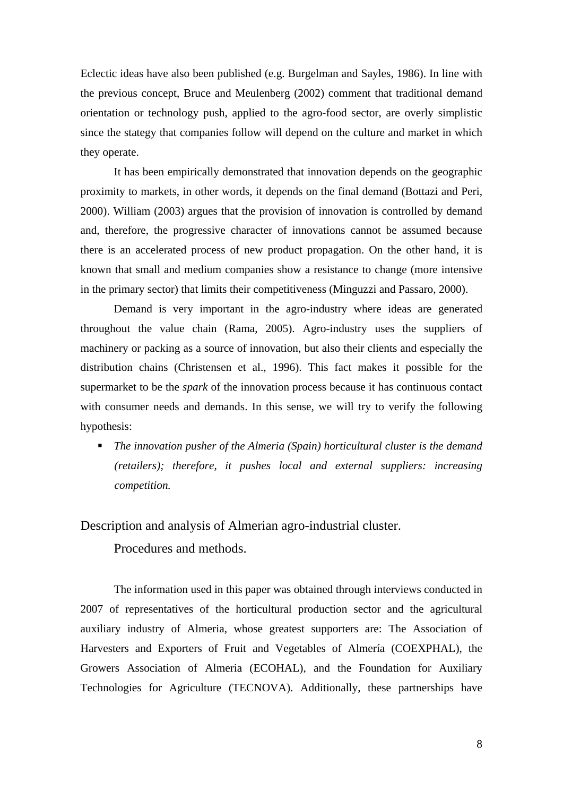Eclectic ideas have also been published (e.g. Burgelman and Sayles, 1986). In line with the previous concept, Bruce and Meulenberg (2002) comment that traditional demand orientation or technology push, applied to the agro-food sector, are overly simplistic since the stategy that companies follow will depend on the culture and market in which they operate.

It has been empirically demonstrated that innovation depends on the geographic proximity to markets, in other words, it depends on the final demand (Bottazi and Peri, 2000). William (2003) argues that the provision of innovation is controlled by demand and, therefore, the progressive character of innovations cannot be assumed because there is an accelerated process of new product propagation. On the other hand, it is known that small and medium companies show a resistance to change (more intensive in the primary sector) that limits their competitiveness (Minguzzi and Passaro, 2000).

Demand is very important in the agro-industry where ideas are generated throughout the value chain (Rama, 2005). Agro-industry uses the suppliers of machinery or packing as a source of innovation, but also their clients and especially the distribution chains (Christensen et al., 1996). This fact makes it possible for the supermarket to be the *spark* of the innovation process because it has continuous contact with consumer needs and demands. In this sense, we will try to verify the following hypothesis:

 *The innovation pusher of the Almeria (Spain) horticultural cluster is the demand (retailers); therefore, it pushes local and external suppliers: increasing competition.* 

Description and analysis of Almerian agro-industrial cluster.

Procedures and methods.

The information used in this paper was obtained through interviews conducted in 2007 of representatives of the horticultural production sector and the agricultural auxiliary industry of Almeria, whose greatest supporters are: The Association of Harvesters and Exporters of Fruit and Vegetables of Almería (COEXPHAL), the Growers Association of Almeria (ECOHAL), and the Foundation for Auxiliary Technologies for Agriculture (TECNOVA). Additionally, these partnerships have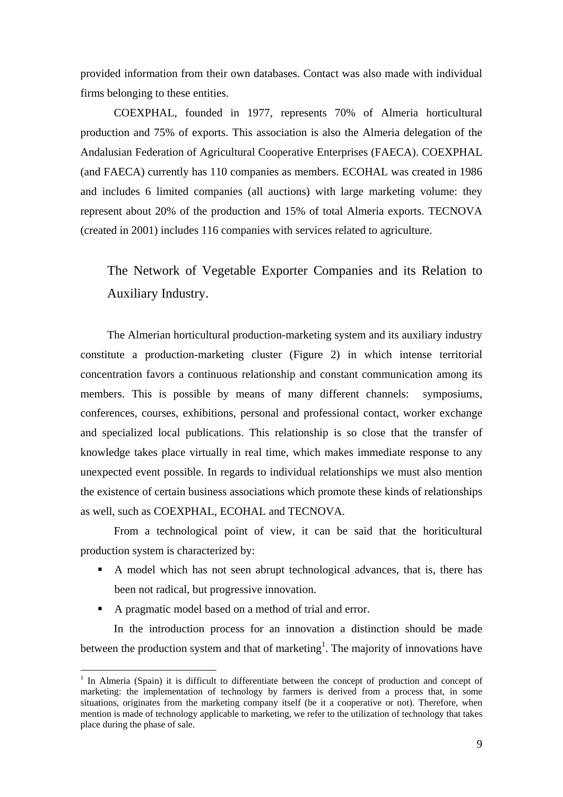provided information from their own databases. Contact was also made with individual firms belonging to these entities.

COEXPHAL, founded in 1977, represents 70% of Almeria horticultural production and 75% of exports. This association is also the Almeria delegation of the Andalusian Federation of Agricultural Cooperative Enterprises (FAECA). COEXPHAL (and FAECA) currently has 110 companies as members. ECOHAL was created in 1986 and includes 6 limited companies (all auctions) with large marketing volume: they represent about 20% of the production and 15% of total Almeria exports. TECNOVA (created in 2001) includes 116 companies with services related to agriculture.

The Network of Vegetable Exporter Companies and its Relation to Auxiliary Industry.

The Almerian horticultural production-marketing system and its auxiliary industry constitute a production-marketing cluster (Figure 2) in which intense territorial concentration favors a continuous relationship and constant communication among its members. This is possible by means of many different channels: symposiums, conferences, courses, exhibitions, personal and professional contact, worker exchange and specialized local publications. This relationship is so close that the transfer of knowledge takes place virtually in real time, which makes immediate response to any unexpected event possible. In regards to individual relationships we must also mention the existence of certain business associations which promote these kinds of relationships as well, such as COEXPHAL, ECOHAL and TECNOVA.

From a technological point of view, it can be said that the horiticultural production system is characterized by:

- A model which has not seen abrupt technological advances, that is, there has been not radical, but progressive innovation.
- A pragmatic model based on a method of trial and error.

1

In the introduction process for an innovation a distinction should be made between the production system and that of marketing<sup>1</sup>. The majority of innovations have

<sup>&</sup>lt;sup>1</sup> In Almeria (Spain) it is difficult to differentiate between the concept of production and concept of marketing: the implementation of technology by farmers is derived from a process that, in some situations, originates from the marketing company itself (be it a cooperative or not). Therefore, when mention is made of technology applicable to marketing, we refer to the utilization of technology that takes place during the phase of sale.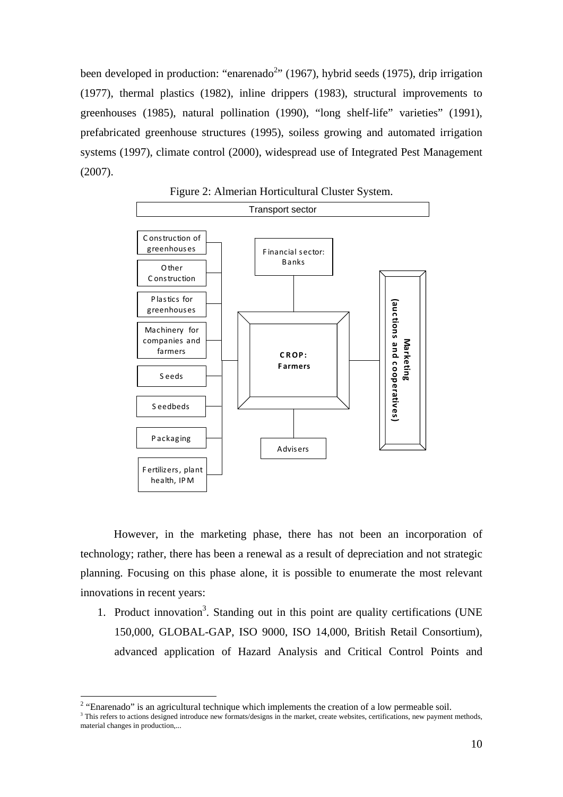been developed in production: "enarenado<sup>2</sup>" (1967), hybrid seeds (1975), drip irrigation (1977), thermal plastics (1982), inline drippers (1983), structural improvements to greenhouses (1985), natural pollination (1990), "long shelf-life" varieties" (1991), prefabricated greenhouse structures (1995), soiless growing and automated irrigation systems (1997), climate control (2000), widespread use of Integrated Pest Management (2007).



Figure 2: Almerian Horticultural Cluster System.

However, in the marketing phase, there has not been an incorporation of technology; rather, there has been a renewal as a result of depreciation and not strategic planning. Focusing on this phase alone, it is possible to enumerate the most relevant innovations in recent years:

1. Product innovation<sup>3</sup>. Standing out in this point are quality certifications (UNE 150,000, GLOBAL-GAP, ISO 9000, ISO 14,000, British Retail Consortium), advanced application of Hazard Analysis and Critical Control Points and

1

<sup>&</sup>lt;sup>2</sup> "Enarenado" is an agricultural technique which implements the creation of a low permeable soil.

<sup>&</sup>lt;sup>3</sup> This refers to actions designed introduce new formats/designs in the market, create websites, certifications, new payment methods, material changes in production,...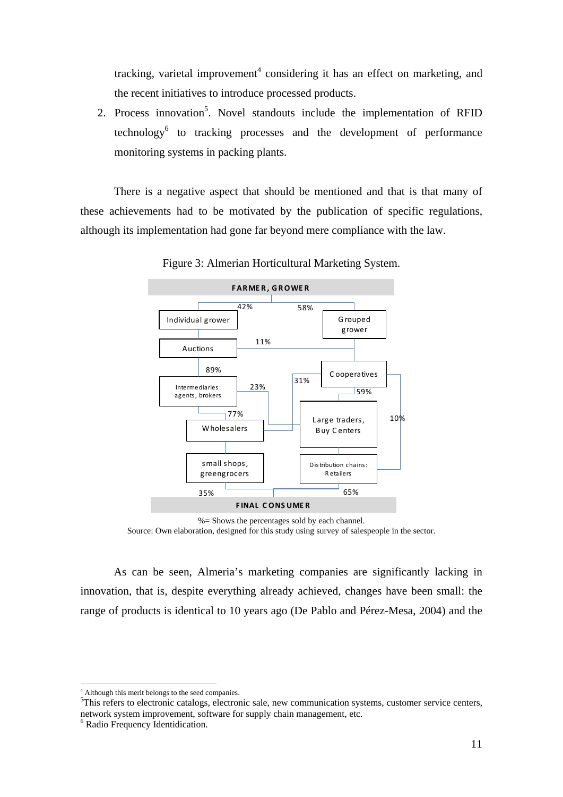tracking, varietal improvement<sup>4</sup> considering it has an effect on marketing, and the recent initiatives to introduce processed products.

2. Process innovation<sup>5</sup>. Novel standouts include the implementation of RFID technology<sup>6</sup> to tracking processes and the development of performance monitoring systems in packing plants.

There is a negative aspect that should be mentioned and that is that many of these achievements had to be motivated by the publication of specific regulations, although its implementation had gone far beyond mere compliance with the law.



Figure 3: Almerian Horticultural Marketing System.

 $% =$  Shows the percentages sold by each channel. Source: Own elaboration, designed for this study using survey of salespeople in the sector.

As can be seen, Almeria's marketing companies are significantly lacking in innovation, that is, despite everything already achieved, changes have been small: the range of products is identical to 10 years ago (De Pablo and Pérez-Mesa, 2004) and the

<sup>5</sup>This refers to electronic catalogs, electronic sale, new communication systems, customer service centers, network system improvement, software for supply chain management, etc.

<u>.</u>

<sup>&</sup>lt;sup>4</sup> Although this merit belongs to the seed companies.

<sup>6</sup> Radio Frequency Identidication.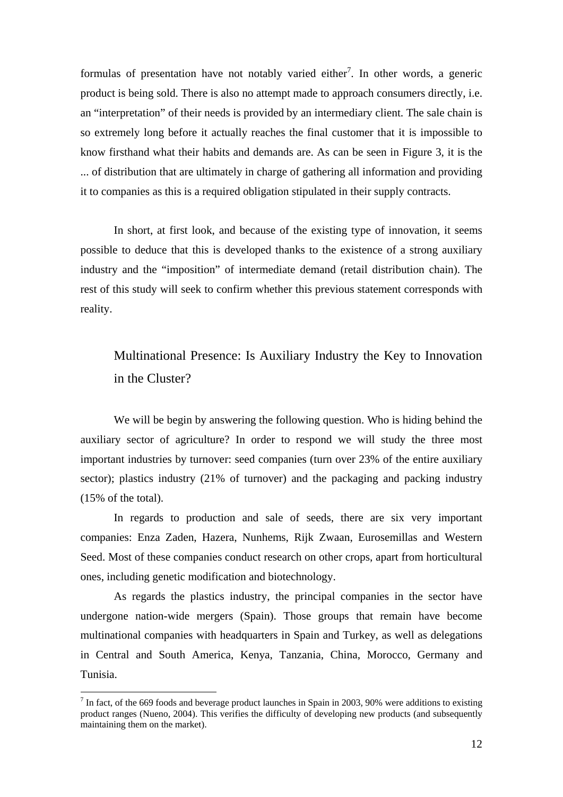formulas of presentation have not notably varied either<sup>7</sup>. In other words, a generic product is being sold. There is also no attempt made to approach consumers directly, i.e. an "interpretation" of their needs is provided by an intermediary client. The sale chain is so extremely long before it actually reaches the final customer that it is impossible to know firsthand what their habits and demands are. As can be seen in Figure 3, it is the ... of distribution that are ultimately in charge of gathering all information and providing it to companies as this is a required obligation stipulated in their supply contracts.

In short, at first look, and because of the existing type of innovation, it seems possible to deduce that this is developed thanks to the existence of a strong auxiliary industry and the "imposition" of intermediate demand (retail distribution chain). The rest of this study will seek to confirm whether this previous statement corresponds with reality.

# Multinational Presence: Is Auxiliary Industry the Key to Innovation in the Cluster?

We will be begin by answering the following question. Who is hiding behind the auxiliary sector of agriculture? In order to respond we will study the three most important industries by turnover: seed companies (turn over 23% of the entire auxiliary sector); plastics industry (21% of turnover) and the packaging and packing industry (15% of the total).

In regards to production and sale of seeds, there are six very important companies: Enza Zaden, Hazera, Nunhems, Rijk Zwaan, Eurosemillas and Western Seed. Most of these companies conduct research on other crops, apart from horticultural ones, including genetic modification and biotechnology.

As regards the plastics industry, the principal companies in the sector have undergone nation-wide mergers (Spain). Those groups that remain have become multinational companies with headquarters in Spain and Turkey, as well as delegations in Central and South America, Kenya, Tanzania, China, Morocco, Germany and Tunisia.

1

 $<sup>7</sup>$  In fact, of the 669 foods and beverage product launches in Spain in 2003, 90% were additions to existing</sup> product ranges (Nueno, 2004). This verifies the difficulty of developing new products (and subsequently maintaining them on the market).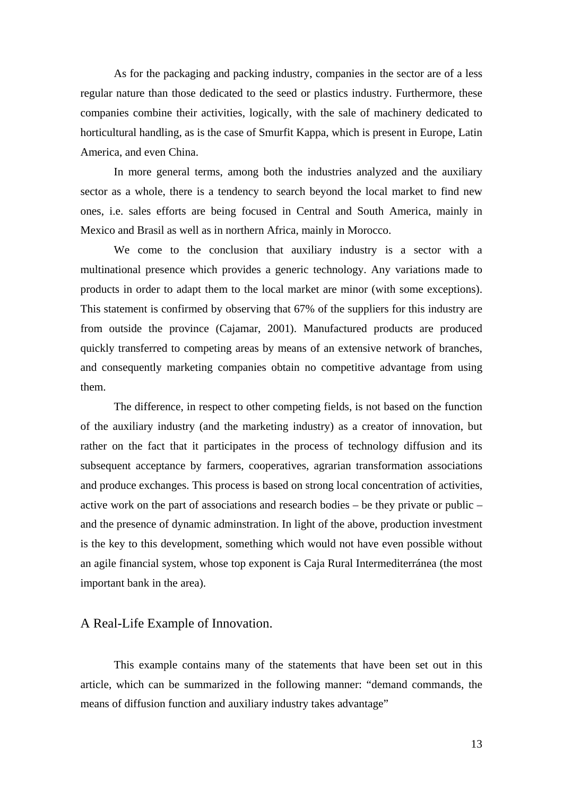As for the packaging and packing industry, companies in the sector are of a less regular nature than those dedicated to the seed or plastics industry. Furthermore, these companies combine their activities, logically, with the sale of machinery dedicated to horticultural handling, as is the case of Smurfit Kappa, which is present in Europe, Latin America, and even China.

In more general terms, among both the industries analyzed and the auxiliary sector as a whole, there is a tendency to search beyond the local market to find new ones, i.e. sales efforts are being focused in Central and South America, mainly in Mexico and Brasil as well as in northern Africa, mainly in Morocco.

We come to the conclusion that auxiliary industry is a sector with a multinational presence which provides a generic technology. Any variations made to products in order to adapt them to the local market are minor (with some exceptions). This statement is confirmed by observing that 67% of the suppliers for this industry are from outside the province (Cajamar, 2001). Manufactured products are produced quickly transferred to competing areas by means of an extensive network of branches, and consequently marketing companies obtain no competitive advantage from using them.

The difference, in respect to other competing fields, is not based on the function of the auxiliary industry (and the marketing industry) as a creator of innovation, but rather on the fact that it participates in the process of technology diffusion and its subsequent acceptance by farmers, cooperatives, agrarian transformation associations and produce exchanges. This process is based on strong local concentration of activities, active work on the part of associations and research bodies – be they private or public – and the presence of dynamic adminstration. In light of the above, production investment is the key to this development, something which would not have even possible without an agile financial system, whose top exponent is Caja Rural Intermediterránea (the most important bank in the area).

### A Real-Life Example of Innovation.

This example contains many of the statements that have been set out in this article, which can be summarized in the following manner: "demand commands, the means of diffusion function and auxiliary industry takes advantage"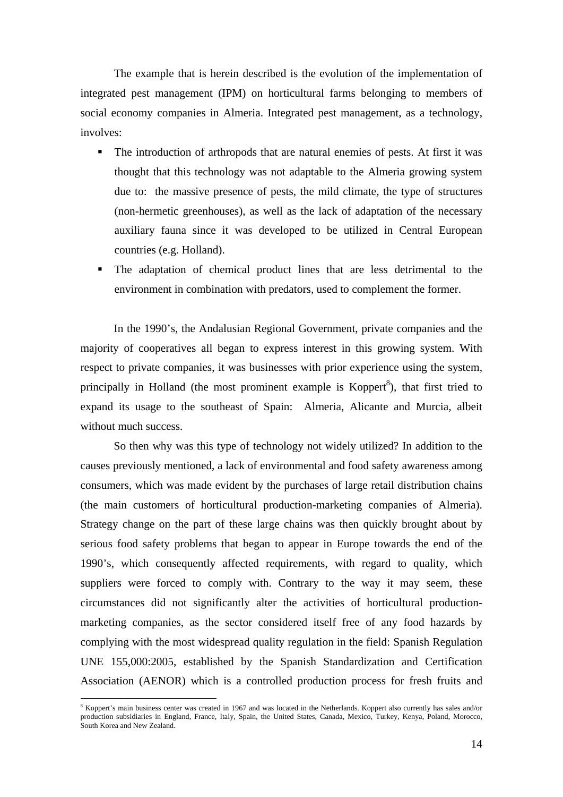The example that is herein described is the evolution of the implementation of integrated pest management (IPM) on horticultural farms belonging to members of social economy companies in Almeria. Integrated pest management, as a technology, involves:

- The introduction of arthropods that are natural enemies of pests. At first it was thought that this technology was not adaptable to the Almeria growing system due to: the massive presence of pests, the mild climate, the type of structures (non-hermetic greenhouses), as well as the lack of adaptation of the necessary auxiliary fauna since it was developed to be utilized in Central European countries (e.g. Holland).
- The adaptation of chemical product lines that are less detrimental to the environment in combination with predators, used to complement the former.

In the 1990's, the Andalusian Regional Government, private companies and the majority of cooperatives all began to express interest in this growing system. With respect to private companies, it was businesses with prior experience using the system, principally in Holland (the most prominent example is Koppert $\delta$ ), that first tried to expand its usage to the southeast of Spain: Almeria, Alicante and Murcia, albeit without much success.

So then why was this type of technology not widely utilized? In addition to the causes previously mentioned, a lack of environmental and food safety awareness among consumers, which was made evident by the purchases of large retail distribution chains (the main customers of horticultural production-marketing companies of Almeria). Strategy change on the part of these large chains was then quickly brought about by serious food safety problems that began to appear in Europe towards the end of the 1990's, which consequently affected requirements, with regard to quality, which suppliers were forced to comply with. Contrary to the way it may seem, these circumstances did not significantly alter the activities of horticultural productionmarketing companies, as the sector considered itself free of any food hazards by complying with the most widespread quality regulation in the field: Spanish Regulation UNE 155,000:2005, established by the Spanish Standardization and Certification Association (AENOR) which is a controlled production process for fresh fruits and

<u>.</u>

<sup>&</sup>lt;sup>8</sup> Koppert's main business center was created in 1967 and was located in the Netherlands. Koppert also currently has sales and/or production subsidiaries in England, France, Italy, Spain, the United States, Canada, Mexico, Turkey, Kenya, Poland, Morocco, South Korea and New Zealand.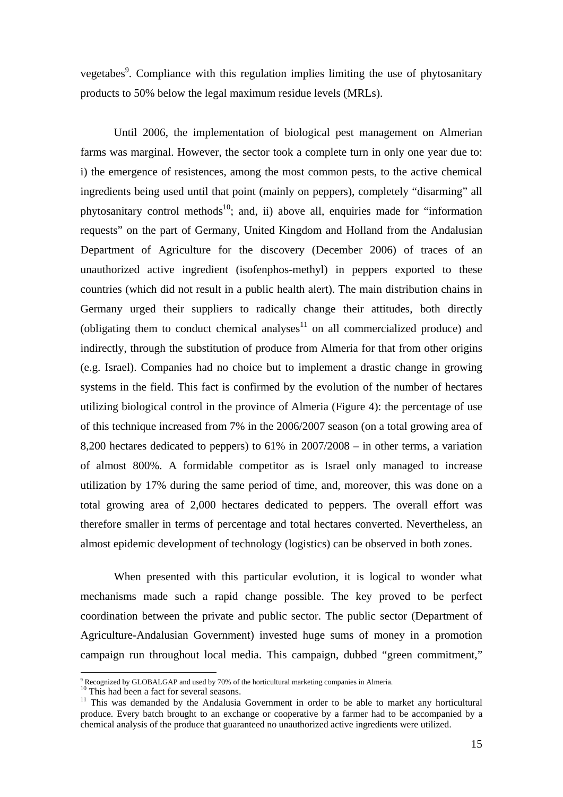vegetabes<sup>9</sup>. Compliance with this regulation implies limiting the use of phytosanitary products to 50% below the legal maximum residue levels (MRLs).

Until 2006, the implementation of biological pest management on Almerian farms was marginal. However, the sector took a complete turn in only one year due to: i) the emergence of resistences, among the most common pests, to the active chemical ingredients being used until that point (mainly on peppers), completely "disarming" all phytosanitary control methods<sup>10</sup>; and, ii) above all, enquiries made for "information" requests" on the part of Germany, United Kingdom and Holland from the Andalusian Department of Agriculture for the discovery (December 2006) of traces of an unauthorized active ingredient (isofenphos-methyl) in peppers exported to these countries (which did not result in a public health alert). The main distribution chains in Germany urged their suppliers to radically change their attitudes, both directly (obligating them to conduct chemical analyses $11$  on all commercialized produce) and indirectly, through the substitution of produce from Almeria for that from other origins (e.g. Israel). Companies had no choice but to implement a drastic change in growing systems in the field. This fact is confirmed by the evolution of the number of hectares utilizing biological control in the province of Almeria (Figure 4): the percentage of use of this technique increased from 7% in the 2006/2007 season (on a total growing area of 8,200 hectares dedicated to peppers) to 61% in 2007/2008 – in other terms, a variation of almost 800%. A formidable competitor as is Israel only managed to increase utilization by 17% during the same period of time, and, moreover, this was done on a total growing area of 2,000 hectares dedicated to peppers. The overall effort was therefore smaller in terms of percentage and total hectares converted. Nevertheless, an almost epidemic development of technology (logistics) can be observed in both zones.

When presented with this particular evolution, it is logical to wonder what mechanisms made such a rapid change possible. The key proved to be perfect coordination between the private and public sector. The public sector (Department of Agriculture-Andalusian Government) invested huge sums of money in a promotion campaign run throughout local media. This campaign, dubbed "green commitment,"

<sup>&</sup>lt;sup>9</sup> Recognized by GLOBALGAP and used by 70% of the horticultural marketing companies in Almeria.<br><sup>10</sup> This had been a fact for several seasons.

<sup>&</sup>lt;sup>10</sup> This had been a fact for several seasons.<br><sup>11</sup> This was demanded by the Andalusia Government in order to be able to market any horticultural produce. Every batch brought to an exchange or cooperative by a farmer had to be accompanied by a chemical analysis of the produce that guaranteed no unauthorized active ingredients were utilized.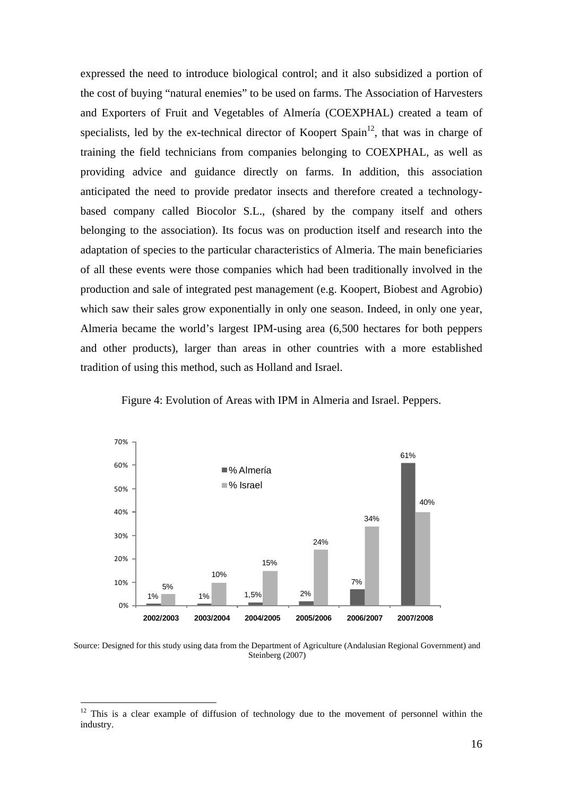expressed the need to introduce biological control; and it also subsidized a portion of the cost of buying "natural enemies" to be used on farms. The Association of Harvesters and Exporters of Fruit and Vegetables of Almería (COEXPHAL) created a team of specialists, led by the ex-technical director of Koopert Spain<sup>12</sup>, that was in charge of training the field technicians from companies belonging to COEXPHAL, as well as providing advice and guidance directly on farms. In addition, this association anticipated the need to provide predator insects and therefore created a technologybased company called Biocolor S.L., (shared by the company itself and others belonging to the association). Its focus was on production itself and research into the adaptation of species to the particular characteristics of Almeria. The main beneficiaries of all these events were those companies which had been traditionally involved in the production and sale of integrated pest management (e.g. Koopert, Biobest and Agrobio) which saw their sales grow exponentially in only one season. Indeed, in only one year, Almeria became the world's largest IPM-using area (6,500 hectares for both peppers and other products), larger than areas in other countries with a more established tradition of using this method, such as Holland and Israel.



Figure 4: Evolution of Areas with IPM in Almeria and Israel. Peppers.

Source: Designed for this study using data from the Department of Agriculture (Andalusian Regional Government) and Steinberg (2007)

1

 $12$  This is a clear example of diffusion of technology due to the movement of personnel within the industry.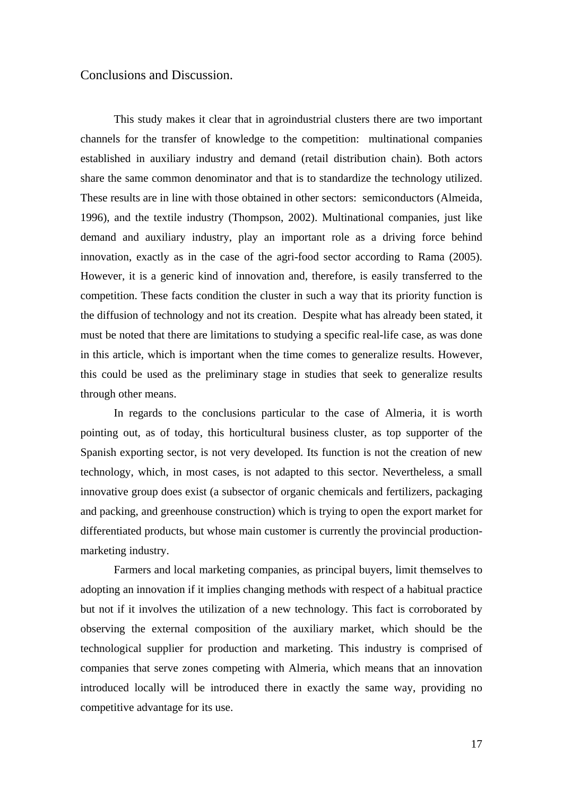## Conclusions and Discussion.

This study makes it clear that in agroindustrial clusters there are two important channels for the transfer of knowledge to the competition: multinational companies established in auxiliary industry and demand (retail distribution chain). Both actors share the same common denominator and that is to standardize the technology utilized. These results are in line with those obtained in other sectors: semiconductors (Almeida, 1996), and the textile industry (Thompson, 2002). Multinational companies, just like demand and auxiliary industry, play an important role as a driving force behind innovation, exactly as in the case of the agri-food sector according to Rama (2005). However, it is a generic kind of innovation and, therefore, is easily transferred to the competition. These facts condition the cluster in such a way that its priority function is the diffusion of technology and not its creation. Despite what has already been stated, it must be noted that there are limitations to studying a specific real-life case, as was done in this article, which is important when the time comes to generalize results. However, this could be used as the preliminary stage in studies that seek to generalize results through other means.

In regards to the conclusions particular to the case of Almeria, it is worth pointing out, as of today, this horticultural business cluster, as top supporter of the Spanish exporting sector, is not very developed. Its function is not the creation of new technology, which, in most cases, is not adapted to this sector. Nevertheless, a small innovative group does exist (a subsector of organic chemicals and fertilizers, packaging and packing, and greenhouse construction) which is trying to open the export market for differentiated products, but whose main customer is currently the provincial productionmarketing industry.

Farmers and local marketing companies, as principal buyers, limit themselves to adopting an innovation if it implies changing methods with respect of a habitual practice but not if it involves the utilization of a new technology. This fact is corroborated by observing the external composition of the auxiliary market, which should be the technological supplier for production and marketing. This industry is comprised of companies that serve zones competing with Almeria, which means that an innovation introduced locally will be introduced there in exactly the same way, providing no competitive advantage for its use.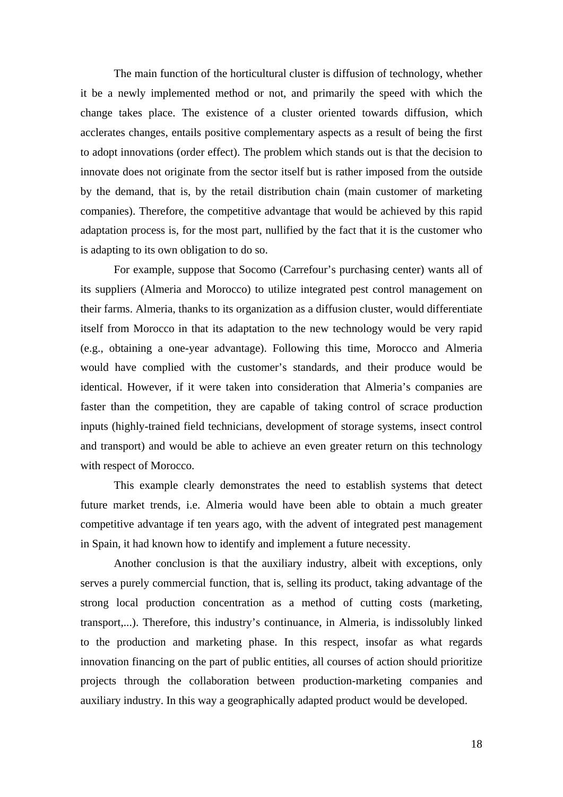The main function of the horticultural cluster is diffusion of technology, whether it be a newly implemented method or not, and primarily the speed with which the change takes place. The existence of a cluster oriented towards diffusion, which acclerates changes, entails positive complementary aspects as a result of being the first to adopt innovations (order effect). The problem which stands out is that the decision to innovate does not originate from the sector itself but is rather imposed from the outside by the demand, that is, by the retail distribution chain (main customer of marketing companies). Therefore, the competitive advantage that would be achieved by this rapid adaptation process is, for the most part, nullified by the fact that it is the customer who is adapting to its own obligation to do so.

For example, suppose that Socomo (Carrefour's purchasing center) wants all of its suppliers (Almeria and Morocco) to utilize integrated pest control management on their farms. Almeria, thanks to its organization as a diffusion cluster, would differentiate itself from Morocco in that its adaptation to the new technology would be very rapid (e.g., obtaining a one-year advantage). Following this time, Morocco and Almeria would have complied with the customer's standards, and their produce would be identical. However, if it were taken into consideration that Almeria's companies are faster than the competition, they are capable of taking control of scrace production inputs (highly-trained field technicians, development of storage systems, insect control and transport) and would be able to achieve an even greater return on this technology with respect of Morocco.

This example clearly demonstrates the need to establish systems that detect future market trends, i.e. Almeria would have been able to obtain a much greater competitive advantage if ten years ago, with the advent of integrated pest management in Spain, it had known how to identify and implement a future necessity.

Another conclusion is that the auxiliary industry, albeit with exceptions, only serves a purely commercial function, that is, selling its product, taking advantage of the strong local production concentration as a method of cutting costs (marketing, transport,...). Therefore, this industry's continuance, in Almeria, is indissolubly linked to the production and marketing phase. In this respect, insofar as what regards innovation financing on the part of public entities, all courses of action should prioritize projects through the collaboration between production-marketing companies and auxiliary industry. In this way a geographically adapted product would be developed.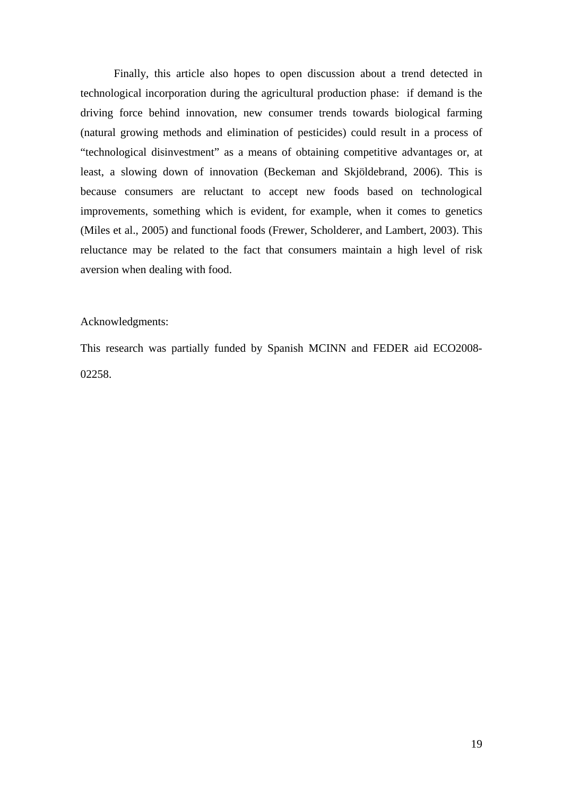Finally, this article also hopes to open discussion about a trend detected in technological incorporation during the agricultural production phase: if demand is the driving force behind innovation, new consumer trends towards biological farming (natural growing methods and elimination of pesticides) could result in a process of "technological disinvestment" as a means of obtaining competitive advantages or, at least, a slowing down of innovation (Beckeman and Skjöldebrand, 2006). This is because consumers are reluctant to accept new foods based on technological improvements, something which is evident, for example, when it comes to genetics (Miles et al., 2005) and functional foods (Frewer, Scholderer, and Lambert, 2003). This reluctance may be related to the fact that consumers maintain a high level of risk aversion when dealing with food.

#### Acknowledgments:

This research was partially funded by Spanish MCINN and FEDER aid ECO2008- 02258.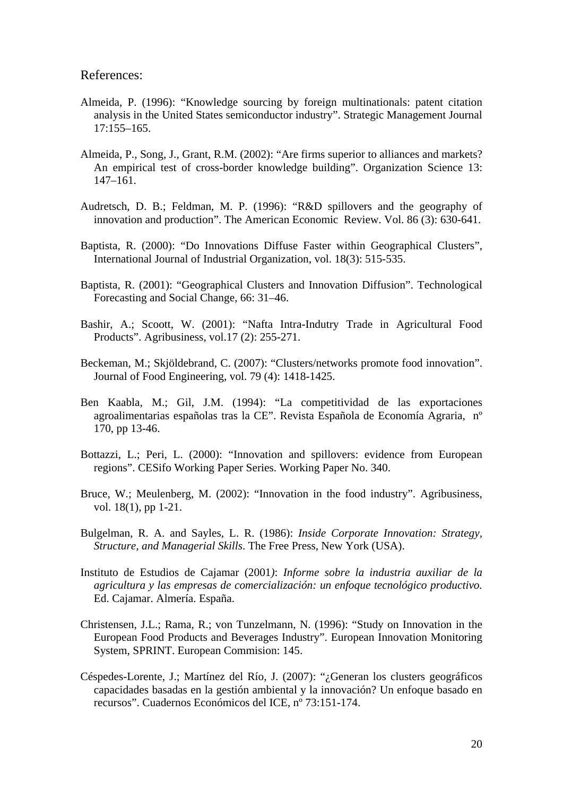### References:

- Almeida, P. (1996): "Knowledge sourcing by foreign multinationals: patent citation analysis in the United States semiconductor industry". Strategic Management Journal 17:155–165.
- Almeida, P., Song, J., Grant, R.M. (2002): "Are firms superior to alliances and markets? An empirical test of cross-border knowledge building". Organization Science 13: 147–161.
- Audretsch, D. B.; Feldman, M. P. (1996): "R&D spillovers and the geography of innovation and production". The American Economic Review. Vol. 86 (3): 630-641.
- Baptista, R. (2000): "Do Innovations Diffuse Faster within Geographical Clusters", International Journal of Industrial Organization, vol. 18(3): 515-535.
- Baptista, R. (2001): "Geographical Clusters and Innovation Diffusion". Technological Forecasting and Social Change, 66: 31–46.
- Bashir, A.; Scoott, W. (2001): "Nafta Intra-Indutry Trade in Agricultural Food Products". Agribusiness, vol.17 (2): 255-271.
- Beckeman, M.; Skjöldebrand, C. (2007): "Clusters/networks promote food innovation". Journal of Food Engineering, vol. 79 (4): 1418-1425.
- Ben Kaabla, M.; Gil, J.M. (1994): "La competitividad de las exportaciones agroalimentarias españolas tras la CE". Revista Española de Economía Agraria, nº 170, pp 13-46.
- Bottazzi, L.; Peri, L. (2000): "Innovation and spillovers: evidence from European regions". CESifo Working Paper Series. Working Paper No. 340.
- Bruce, W.; Meulenberg, M. (2002): "Innovation in the food industry". Agribusiness, vol. 18(1), pp 1-21.
- Bulgelman, R. A. and Sayles, L. R. (1986): *Inside Corporate Innovation: Strategy, Structure, and Managerial Skills*. The Free Press, New York (USA).
- Instituto de Estudios de Cajamar (2001*)*: *Informe sobre la industria auxiliar de la agricultura y las empresas de comercialización: un enfoque tecnológico productivo.*  Ed. Cajamar. Almería. España.
- Christensen, J.L.; Rama, R.; von Tunzelmann, N. (1996): "Study on Innovation in the European Food Products and Beverages Industry". European Innovation Monitoring System, SPRINT. European Commision: 145.
- Céspedes-Lorente, J.; Martínez del Río, J. (2007): "¿Generan los clusters geográficos capacidades basadas en la gestión ambiental y la innovación? Un enfoque basado en recursos". Cuadernos Económicos del ICE, nº 73:151-174.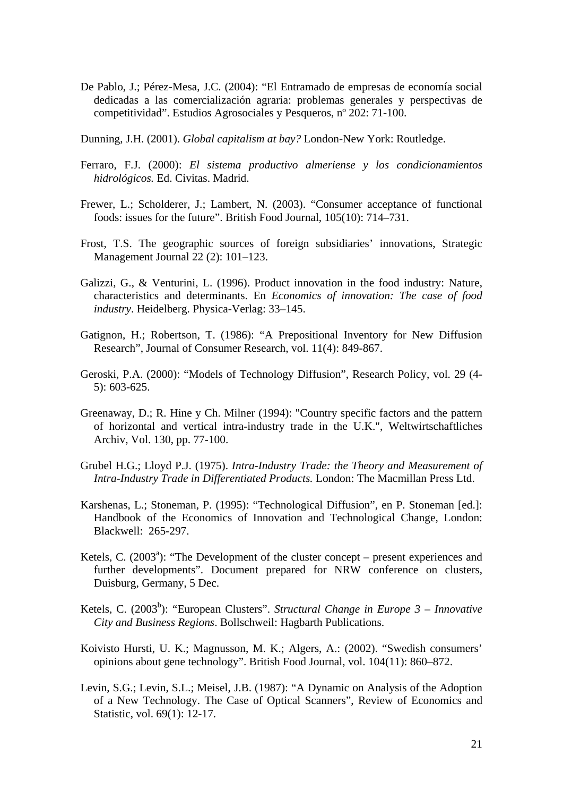- De Pablo, J.; Pérez-Mesa, J.C. (2004): "El Entramado de empresas de economía social dedicadas a las comercialización agraria: problemas generales y perspectivas de competitividad". Estudios Agrosociales y Pesqueros, nº 202: 71-100.
- Dunning, J.H. (2001). *Global capitalism at bay?* London-New York: Routledge.
- Ferraro, F.J. (2000): *El sistema productivo almeriense y los condicionamientos hidrológicos.* Ed. Civitas. Madrid.
- Frewer, L.; Scholderer, J.; Lambert, N. (2003). "Consumer acceptance of functional foods: issues for the future". British Food Journal, 105(10): 714–731.
- Frost, T.S. The geographic sources of foreign subsidiaries' innovations, Strategic Management Journal 22 (2): 101–123.
- Galizzi, G., & Venturini, L. (1996). Product innovation in the food industry: Nature, characteristics and determinants. En *Economics of innovation: The case of food industry*. Heidelberg. Physica-Verlag: 33–145.
- Gatignon, H.; Robertson, T. (1986): "A Prepositional Inventory for New Diffusion Research", Journal of Consumer Research, vol. 11(4): 849-867.
- Geroski, P.A. (2000): "Models of Technology Diffusion", Research Policy, vol. 29 (4- 5): 603-625.
- Greenaway, D.; R. Hine y Ch. Milner (1994): "Country specific factors and the pattern of horizontal and vertical intra-industry trade in the U.K.", Weltwirtschaftliches Archiv, Vol. 130, pp. 77-100.
- Grubel H.G.; Lloyd P.J. (1975). *Intra-Industry Trade: the Theory and Measurement of Intra-Industry Trade in Differentiated Products.* London: The Macmillan Press Ltd.
- Karshenas, L.; Stoneman, P. (1995): "Technological Diffusion", en P. Stoneman [ed.]: Handbook of the Economics of Innovation and Technological Change, London: Blackwell: 265-297.
- Ketels, C. (2003<sup>a</sup>): "The Development of the cluster concept present experiences and further developments". Document prepared for NRW conference on clusters, Duisburg, Germany, 5 Dec.
- Ketels, C. (2003<sup>b</sup>): "European Clusters". *Structural Change in Europe 3 Innovative City and Business Regions*. Bollschweil: Hagbarth Publications.
- Koivisto Hursti, U. K.; Magnusson, M. K.; Algers, A.: (2002). "Swedish consumers' opinions about gene technology". British Food Journal, vol. 104(11): 860–872.
- Levin, S.G.; Levin, S.L.; Meisel, J.B. (1987): "A Dynamic on Analysis of the Adoption of a New Technology. The Case of Optical Scanners", Review of Economics and Statistic, vol. 69(1): 12-17.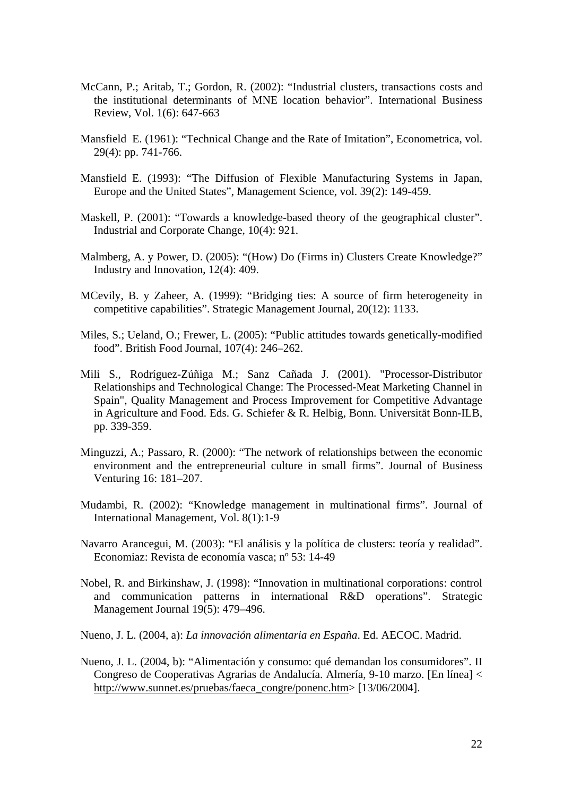- McCann, P.; Aritab, T.; Gordon, R. (2002): "Industrial clusters, transactions costs and the institutional determinants of MNE location behavior". International Business Review, Vol. 1(6): 647-663
- Mansfield E. (1961): "Technical Change and the Rate of Imitation", Econometrica, vol. 29(4): pp. 741-766.
- Mansfield E. (1993): "The Diffusion of Flexible Manufacturing Systems in Japan, Europe and the United States", Management Science, vol. 39(2): 149-459.
- Maskell, P. (2001): "Towards a knowledge-based theory of the geographical cluster". Industrial and Corporate Change, 10(4): 921.
- Malmberg, A. y Power, D. (2005): "(How) Do (Firms in) Clusters Create Knowledge?" Industry and Innovation, 12(4): 409.
- MCevily, B. y Zaheer, A. (1999): "Bridging ties: A source of firm heterogeneity in competitive capabilities". Strategic Management Journal, 20(12): 1133.
- Miles, S.; Ueland, O.; Frewer, L. (2005): "Public attitudes towards genetically-modified food". British Food Journal, 107(4): 246–262.
- Mili S., Rodríguez-Zúñiga M.; Sanz Cañada J. (2001). "Processor-Distributor Relationships and Technological Change: The Processed-Meat Marketing Channel in Spain", Quality Management and Process Improvement for Competitive Advantage in Agriculture and Food. Eds. G. Schiefer & R. Helbig, Bonn. Universität Bonn-ILB, pp. 339-359.
- Minguzzi, A.; Passaro, R. (2000): "The network of relationships between the economic environment and the entrepreneurial culture in small firms". Journal of Business Venturing 16: 181–207.
- Mudambi, R. (2002): "Knowledge management in multinational firms". Journal of International Management, Vol. 8(1):1-9
- Navarro Arancegui, M. (2003): "El análisis y la política de clusters: teoría y realidad". Economiaz: Revista de economía vasca; nº 53: 14-49
- Nobel, R. and Birkinshaw, J. (1998): "Innovation in multinational corporations: control and communication patterns in international R&D operations". Strategic Management Journal 19(5): 479–496.
- Nueno, J. L. (2004, a): *La innovación alimentaria en España*. Ed. AECOC. Madrid.
- Nueno, J. L. (2004, b): "Alimentación y consumo: qué demandan los consumidores". II Congreso de Cooperativas Agrarias de Andalucía. Almería, 9-10 marzo. [En línea] < http://www.sunnet.es/pruebas/faeca\_congre/ponenc.htm> [13/06/2004].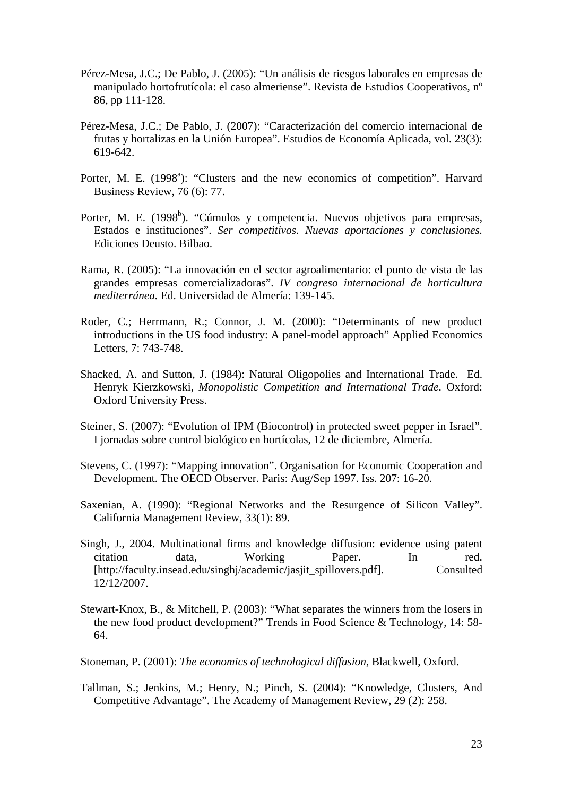- Pérez-Mesa, J.C.; De Pablo, J. (2005): "Un análisis de riesgos laborales en empresas de manipulado hortofrutícola: el caso almeriense". Revista de Estudios Cooperativos, nº 86, pp 111-128.
- Pérez-Mesa, J.C.; De Pablo, J. (2007): "Caracterización del comercio internacional de frutas y hortalizas en la Unión Europea". Estudios de Economía Aplicada, vol. 23(3): 619-642.
- Porter, M. E. (1998<sup>a</sup>): "Clusters and the new economics of competition". Harvard Business Review, 76 (6): 77.
- Porter, M. E. (1998<sup>b</sup>). "Cúmulos y competencia. Nuevos objetivos para empresas, Estados e instituciones". *Ser competitivos. Nuevas aportaciones y conclusiones.* Ediciones Deusto. Bilbao.
- Rama, R. (2005): "La innovación en el sector agroalimentario: el punto de vista de las grandes empresas comercializadoras". *IV congreso internacional de horticultura mediterránea.* Ed. Universidad de Almería: 139-145.
- Roder, C.; Herrmann, R.; Connor, J. M. (2000): "Determinants of new product introductions in the US food industry: A panel-model approach" Applied Economics Letters, 7: 743-748.
- Shacked, A. and Sutton, J. (1984): Natural Oligopolies and International Trade. Ed. Henryk Kierzkowski, *Monopolistic Competition and International Trade*. Oxford: Oxford University Press.
- Steiner, S. (2007): "Evolution of IPM (Biocontrol) in protected sweet pepper in Israel". I jornadas sobre control biológico en hortícolas, 12 de diciembre, Almería.
- Stevens, C. (1997): "Mapping innovation". Organisation for Economic Cooperation and Development. The OECD Observer. Paris: Aug/Sep 1997. Iss. 207: 16-20.
- Saxenian, A. (1990): "Regional Networks and the Resurgence of Silicon Valley". California Management Review, 33(1): 89.
- Singh, J., 2004. Multinational firms and knowledge diffusion: evidence using patent citation data, Working Paper. In red. [http://faculty.insead.edu/singhj/academic/jasjit\_spillovers.pdf]. Consulted 12/12/2007.
- Stewart-Knox, B., & Mitchell, P. (2003): "What separates the winners from the losers in the new food product development?" Trends in Food Science & Technology, 14: 58- 64.
- Stoneman, P. (2001): *The economics of technological diffusion*, Blackwell, Oxford.
- Tallman, S.; Jenkins, M.; Henry, N.; Pinch, S. (2004): "Knowledge, Clusters, And Competitive Advantage". The Academy of Management Review, 29 (2): 258.